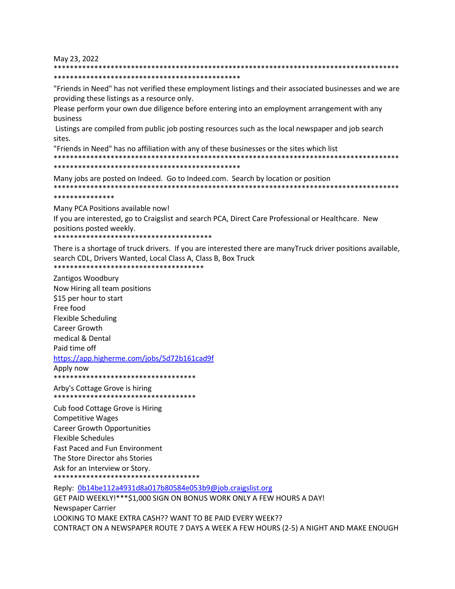May 23, 2022

\*\*\*\*\*\*\*\*\*\*\*\*\*\*\*\*\*\*\*\*\*\*\*\*\*\*\*\*\*\*\*\*\*\*\*\*\*\*\*\*\*\*\*\*\*\* "Friends in Need" has not verified these employment listings and their associated businesses and we are providing these listings as a resource only.

\*\*\*\*\*\*\*\*\*\*\*\*\*\*\*\*\*\*\*\*\*\*\*\*\*\*\*\*\*\*\*\*\*\*\*\*\*\*\*\*\*\*\*\*\*\*\*\*\*\*\*\*\*\*\*\*\*\*\*\*\*\*\*\*\*\*\*\*\*\*\*\*\*\*\*\*\*\*\*\*\*\*\*\*\*

Please perform your own due diligence before entering into an employment arrangement with any business

Listings are compiled from public job posting resources such as the local newspaper and job search sites.

"Friends in Need" has no affiliation with any of these businesses or the sites which list \*\*\*\*\*\*\*\*\*\*\*\*\*\*\*\*\*\*\*\*\*\*\*\*\*\*\*\*\*\*\*\*\*\*\*\*\*\*\*\*\*\*\*\*\*\*\*\*\*\*\*\*\*\*\*\*\*\*\*\*\*\*\*\*\*\*\*\*\*\*\*\*\*\*\*\*\*\*\*\*\*\*\*\*\*

\*\*\*\*\*\*\*\*\*\*\*\*\*\*\*\*\*\*\*\*\*\*\*\*\*\*\*\*\*\*\*\*\*\*\*\*\*\*\*\*\*\*\*\*\*\*

Many jobs are posted on Indeed. Go to Indeed.com. Search by location or position \*\*\*\*\*\*\*\*\*\*\*\*\*\*\*\*\*\*\*\*\*\*\*\*\*\*\*\*\*\*\*\*\*\*\*\*\*\*\*\*\*\*\*\*\*\*\*\*\*\*\*\*\*\*\*\*\*\*\*\*\*\*\*\*\*\*\*\*\*\*\*\*\*\*\*\*\*\*\*\*\*\*\*\*\*

## \*\*\*\*\*\*\*\*\*\*\*\*\*\*\*

Many PCA Positions available now!

If you are interested, go to Craigslist and search PCA, Direct Care Professional or Healthcare. New positions posted weekly.

\*\*\*\*\*\*\*\*\*\*\*\*\*\*\*\*\*\*\*\*\*\*\*\*\*\*\*\*\*\*\*\*\*\*\*\*\*\*\*

There is a shortage of truck drivers. If you are interested there are manyTruck driver positions available, search CDL, Drivers Wanted, Local Class A, Class B, Box Truck \*\*\*\*\*\*\*\*\*\*\*\*\*\*\*\*\*\*\*\*\*\*\*\*\*\*\*\*\*\*\*\*\*\*\*\*\*

Zantigos Woodbury Now Hiring all team positions \$15 per hour to start Free food Flexible Scheduling Career Growth medical & Dental Paid time off <https://app.higherme.com/jobs/5d72b161cad9f> Apply now

\*\*\*\*\*\*\*\*\*\*\*\*\*\*\*\*\*\*\*\*\*\*\*\*\*\*\*\*\*\*\*\*\*\*\* Arby's Cottage Grove is hiring

\*\*\*\*\*\*\*\*\*\*\*\*\*\*\*\*\*\*\*\*\*\*\*\*\*\*\*\*\*\*\*\*\*\*\*

Cub food Cottage Grove is Hiring Competitive Wages Career Growth Opportunities Flexible Schedules Fast Paced and Fun Environment The Store Director ahs Stories Ask for an Interview or Story. \*\*\*\*\*\*\*\*\*\*\*\*\*\*\*\*\*\*\*\*\*\*\*\*\*\*\*\*\*\*\*\*\*\*\*\*

Reply: [0b14be112a4931d8a017b80584e053b9@job.craigslist.org](mailto:0b14be112a4931d8a017b80584e053b9@job.craigslist.org) GET PAID WEEKLY!\*\*\*\$1,000 SIGN ON BONUS WORK ONLY A FEW HOURS A DAY! Newspaper Carrier LOOKING TO MAKE EXTRA CASH?? WANT TO BE PAID EVERY WEEK?? CONTRACT ON A NEWSPAPER ROUTE 7 DAYS A WEEK A FEW HOURS (2-5) A NIGHT AND MAKE ENOUGH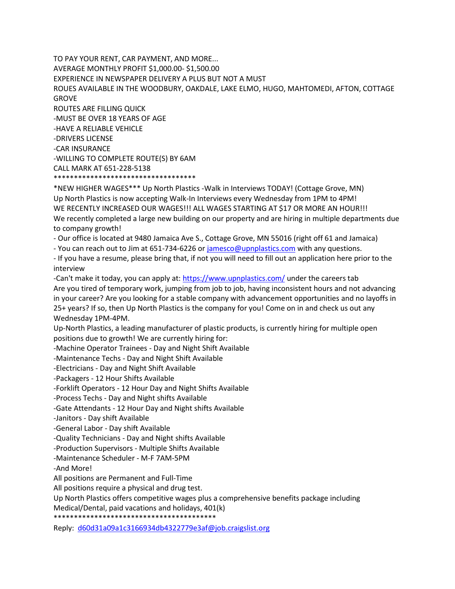TO PAY YOUR RENT, CAR PAYMENT, AND MORE... AVERAGE MONTHLY PROFIT \$1,000.00- \$1,500.00 EXPERIENCE IN NEWSPAPER DELIVERY A PLUS BUT NOT A MUST ROUES AVAILABLE IN THE WOODBURY, OAKDALE, LAKE ELMO, HUGO, MAHTOMEDI, AFTON, COTTAGE GROVE ROUTES ARE FILLING QUICK -MUST BE OVER 18 YEARS OF AGE -HAVE A RELIABLE VEHICLE -DRIVERS LICENSE -CAR INSURANCE -WILLING TO COMPLETE ROUTE(S) BY 6AM CALL MARK AT 651-228-5138 \*\*\*\*\*\*\*\*\*\*\*\*\*\*\*\*\*\*\*\*\*\*\*\*\*\*\*\*\*\*\*\*\*\*\*

\*NEW HIGHER WAGES\*\*\* Up North Plastics -Walk in Interviews TODAY! (Cottage Grove, MN) Up North Plastics is now accepting Walk-In Interviews every Wednesday from 1PM to 4PM! WE RECENTLY INCREASED OUR WAGES!!! ALL WAGES STARTING AT \$17 OR MORE AN HOUR!!! We recently completed a large new building on our property and are hiring in multiple departments due to company growth!

- Our office is located at 9480 Jamaica Ave S., Cottage Grove, MN 55016 (right off 61 and Jamaica)

- You can reach out to Jim at 651-734-6226 o[r jamesco@upnplastics.com](mailto:jamesco@upnplastics.com) with any questions.

- If you have a resume, please bring that, if not you will need to fill out an application here prior to the interview

-Can't make it today, you can apply at:<https://www.upnplastics.com/> under the careers tab Are you tired of temporary work, jumping from job to job, having inconsistent hours and not advancing in your career? Are you looking for a stable company with advancement opportunities and no layoffs in 25+ years? If so, then Up North Plastics is the company for you! Come on in and check us out any Wednesday 1PM-4PM.

Up-North Plastics, a leading manufacturer of plastic products, is currently hiring for multiple open positions due to growth! We are currently hiring for:

-Machine Operator Trainees - Day and Night Shift Available

-Maintenance Techs - Day and Night Shift Available

-Electricians - Day and Night Shift Available

-Packagers - 12 Hour Shifts Available

-Forklift Operators - 12 Hour Day and Night Shifts Available

-Process Techs - Day and Night shifts Available

-Gate Attendants - 12 Hour Day and Night shifts Available

-Janitors - Day shift Available

-General Labor - Day shift Available

-Quality Technicians - Day and Night shifts Available

-Production Supervisors - Multiple Shifts Available

-Maintenance Scheduler - M-F 7AM-5PM

-And More!

All positions are Permanent and Full-Time

All positions require a physical and drug test.

Up North Plastics offers competitive wages plus a comprehensive benefits package including

Medical/Dental, paid vacations and holidays, 401(k)

\*\*\*\*\*\*\*\*\*\*\*\*\*\*\*\*\*\*\*\*\*\*\*\*\*\*\*\*\*\*\*\*\*\*\*\*\*\*\*\*

Reply: [d60d31a09a1c3166934db4322779e3af@job.craigslist.org](mailto:d60d31a09a1c3166934db4322779e3af@job.craigslist.org)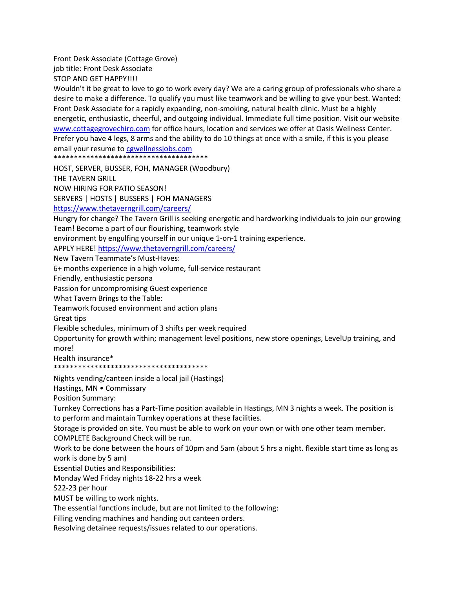Front Desk Associate (Cottage Grove) job title: Front Desk Associate

STOP AND GET HAPPY!!!!

Wouldn't it be great to love to go to work every day? We are a caring group of professionals who share a desire to make a difference. To qualify you must like teamwork and be willing to give your best. Wanted: Front Desk Associate for a rapidly expanding, non-smoking, natural health clinic. Must be a highly energetic, enthusiastic, cheerful, and outgoing individual. Immediate full time position. Visit our website [www.cottagegrovechiro.com](http://www.cottagegrovechiro.com/) for office hours, location and services we offer at Oasis Wellness Center. Prefer you have 4 legs, 8 arms and the ability to do 10 things at once with a smile, if this is you please email your resume to [cgwellnessjobs.com](http://cgwellnessjobs.com/)

\*\*\*\*\*\*\*\*\*\*\*\*\*\*\*\*\*\*\*\*\*\*\*\*\*\*\*\*\*\*\*\*\*\*\*\*\*\*

HOST, SERVER, BUSSER, FOH, MANAGER (Woodbury)

THE TAVERN GRILL

NOW HIRING FOR PATIO SEASON!

SERVERS | HOSTS | BUSSERS | FOH MANAGERS

<https://www.thetaverngrill.com/careers/>

Hungry for change? The Tavern Grill is seeking energetic and hardworking individuals to join our growing Team! Become a part of our flourishing, teamwork style

environment by engulfing yourself in our unique 1-on-1 training experience.

APPLY HERE!<https://www.thetaverngrill.com/careers/>

New Tavern Teammate's Must-Haves:

6+ months experience in a high volume, full-service restaurant

Friendly, enthusiastic persona

Passion for uncompromising Guest experience

What Tavern Brings to the Table:

Teamwork focused environment and action plans

Great tips

Flexible schedules, minimum of 3 shifts per week required

Opportunity for growth within; management level positions, new store openings, LevelUp training, and more!

Health insurance\*

\*\*\*\*\*\*\*\*\*\*\*\*\*\*\*\*\*\*\*\*\*\*\*\*\*\*\*\*\*\*\*\*\*\*\*\*\*\*

Nights vending/canteen inside a local jail (Hastings)

Hastings, MN • Commissary

Position Summary:

Turnkey Corrections has a Part-Time position available in Hastings, MN 3 nights a week. The position is to perform and maintain Turnkey operations at these facilities.

Storage is provided on site. You must be able to work on your own or with one other team member. COMPLETE Background Check will be run.

Work to be done between the hours of 10pm and 5am (about 5 hrs a night. flexible start time as long as work is done by 5 am)

Essential Duties and Responsibilities:

Monday Wed Friday nights 18-22 hrs a week

\$22-23 per hour

MUST be willing to work nights.

The essential functions include, but are not limited to the following:

Filling vending machines and handing out canteen orders.

Resolving detainee requests/issues related to our operations.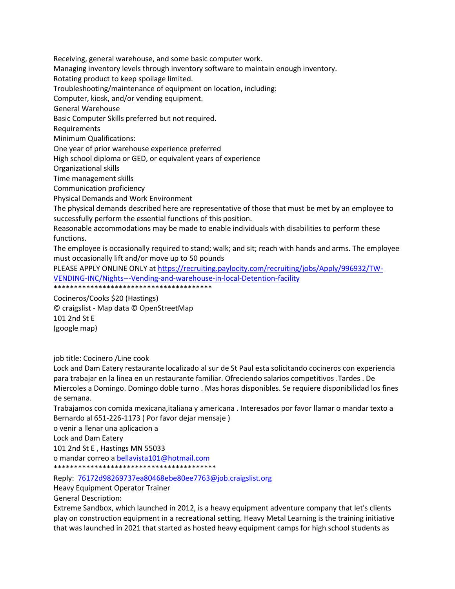Receiving, general warehouse, and some basic computer work.

Managing inventory levels through inventory software to maintain enough inventory.

Rotating product to keep spoilage limited.

Troubleshooting/maintenance of equipment on location, including:

Computer, kiosk, and/or vending equipment.

General Warehouse

Basic Computer Skills preferred but not required.

Requirements

Minimum Qualifications:

One year of prior warehouse experience preferred

High school diploma or GED, or equivalent years of experience

Organizational skills

Time management skills

Communication proficiency

Physical Demands and Work Environment

The physical demands described here are representative of those that must be met by an employee to successfully perform the essential functions of this position.

Reasonable accommodations may be made to enable individuals with disabilities to perform these functions.

The employee is occasionally required to stand; walk; and sit; reach with hands and arms. The employee must occasionally lift and/or move up to 50 pounds

PLEASE APPLY ONLINE ONLY at [https://recruiting.paylocity.com/recruiting/jobs/Apply/996932/TW-](https://recruiting.paylocity.com/recruiting/jobs/Apply/996932/TW-VENDING-INC/Nights---Vending-and-warehouse-in-local-Detention-facility)[VENDING-INC/Nights---Vending-and-warehouse-in-local-Detention-facility](https://recruiting.paylocity.com/recruiting/jobs/Apply/996932/TW-VENDING-INC/Nights---Vending-and-warehouse-in-local-Detention-facility) \*\*\*\*\*\*\*\*\*\*\*\*\*\*\*\*\*\*\*\*\*\*\*\*\*\*\*\*\*\*\*\*\*\*\*\*\*\*\*

Cocineros/Cooks \$20 (Hastings) © craigslist - Map data © OpenStreetMap

101 2nd St E (google map)

job title: Cocinero /Line cook

Lock and Dam Eatery restaurante localizado al sur de St Paul esta solicitando cocineros con experiencia para trabajar en la linea en un restaurante familiar. Ofreciendo salarios competitivos .Tardes . De Miercoles a Domingo. Domingo doble turno . Mas horas disponibles. Se requiere disponibilidad los fines de semana.

Trabajamos con comida mexicana,italiana y americana . Interesados por favor llamar o mandar texto a Bernardo al 651-226-1173 ( Por favor dejar mensaje )

o venir a llenar una aplicacion a

Lock and Dam Eatery

101 2nd St E , Hastings MN 55033

o mandar correo a [bellavista101@hotmail.com](mailto:bellavista101@hotmail.com)

\*\*\*\*\*\*\*\*\*\*\*\*\*\*\*\*\*\*\*\*\*\*\*\*\*\*\*\*\*\*\*\*\*\*\*\*\*\*\*\*

Reply: [76172d98269737ea80468ebe80ee7763@job.craigslist.org](mailto:76172d98269737ea80468ebe80ee7763@job.craigslist.org)

Heavy Equipment Operator Trainer

General Description:

Extreme Sandbox, which launched in 2012, is a heavy equipment adventure company that let's clients play on construction equipment in a recreational setting. Heavy Metal Learning is the training initiative that was launched in 2021 that started as hosted heavy equipment camps for high school students as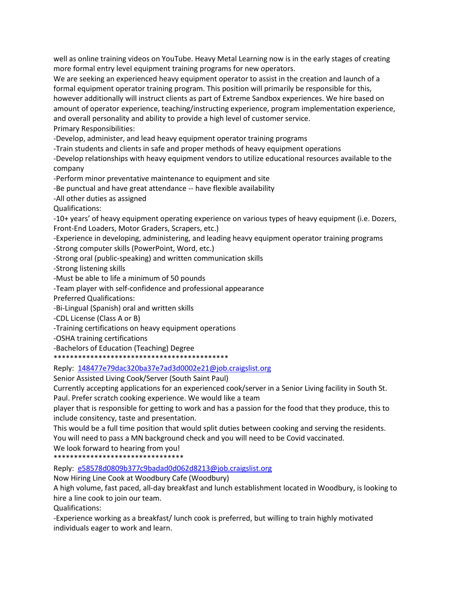well as online training videos on YouTube. Heavy Metal Learning now is in the early stages of creating more formal entry level equipment training programs for new operators.

We are seeking an experienced heavy equipment operator to assist in the creation and launch of a formal equipment operator training program. This position will primarily be responsible for this, however additionally will instruct clients as part of Extreme Sandbox experiences. We hire based on amount of operator experience, teaching/instructing experience, program implementation experience, and overall personality and ability to provide a high level of customer service. Primary Responsibilities:

-Develop, administer, and lead heavy equipment operator training programs

-Train students and clients in safe and proper methods of heavy equipment operations

-Develop relationships with heavy equipment vendors to utilize educational resources available to the company

-Perform minor preventative maintenance to equipment and site

-Be punctual and have great attendance -- have flexible availability

-All other duties as assigned

Qualifications:

-10+ years' of heavy equipment operating experience on various types of heavy equipment (i.e. Dozers, Front-End Loaders, Motor Graders, Scrapers, etc.)

-Experience in developing, administering, and leading heavy equipment operator training programs

-Strong computer skills (PowerPoint, Word, etc.)

-Strong oral (public-speaking) and written communication skills

-Strong listening skills

-Must be able to life a minimum of 50 pounds

-Team player with self-confidence and professional appearance

Preferred Qualifications:

-Bi-Lingual (Spanish) oral and written skills

-CDL License (Class A or B)

-Training certifications on heavy equipment operations

-OSHA training certifications

-Bachelors of Education (Teaching) Degree

\*\*\*\*\*\*\*\*\*\*\*\*\*\*\*\*\*\*\*\*\*\*\*\*\*\*\*\*\*\*\*\*\*\*\*\*\*\*\*\*\*\*\*

Reply: [148477e79dac320ba37e7ad3d0002e21@job.craigslist.org](mailto:148477e79dac320ba37e7ad3d0002e21@job.craigslist.org)

Senior Assisted Living Cook/Server (South Saint Paul)

Currently accepting applications for an experienced cook/server in a Senior Living facility in South St.

Paul. Prefer scratch cooking experience. We would like a team

player that is responsible for getting to work and has a passion for the food that they produce, this to include consitency, taste and presentation.

This would be a full time position that would split duties between cooking and serving the residents. You will need to pass a MN background check and you will need to be Covid vaccinated.

We look forward to hearing from you! \*\*\*\*\*\*\*\*\*\*\*\*\*\*\*\*\*\*\*\*\*\*\*\*\*\*\*\*\*\*\*\*

Reply: [e58578d0809b377c9badad0d062d8213@job.craigslist.org](mailto:e58578d0809b377c9badad0d062d8213@job.craigslist.org)

Now Hiring Line Cook at Woodbury Cafe (Woodbury)

A high volume, fast paced, all-day breakfast and lunch establishment located in Woodbury, is looking to hire a line cook to join our team.

Qualifications:

-Experience working as a breakfast/ lunch cook is preferred, but willing to train highly motivated individuals eager to work and learn.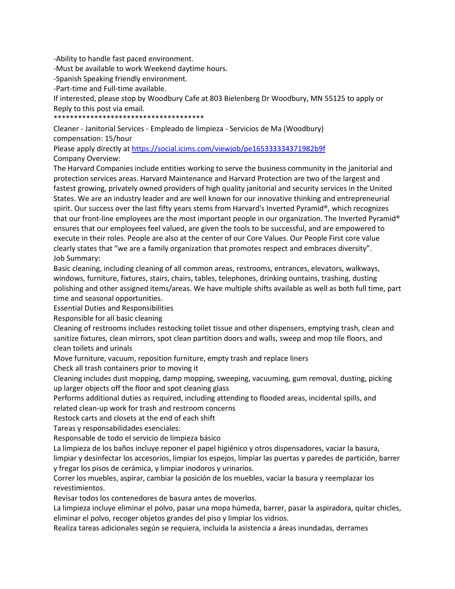-Ability to handle fast paced environment.

-Must be available to work Weekend daytime hours.

-Spanish Speaking friendly environment.

-Part-time and Full-time available.

If interested, please stop by Woodbury Cafe at 803 Bielenberg Dr Woodbury, MN 55125 to apply or Reply to this post via email.

\*\*\*\*\*\*\*\*\*\*\*\*\*\*\*\*\*\*\*\*\*\*\*\*\*\*\*\*\*\*\*\*\*\*\*\*\*

Cleaner - Janitorial Services - Empleado de limpieza - Servicios de Ma (Woodbury) compensation: 15/hour

Please apply directly a[t https://social.icims.com/viewjob/pe165333334371982b9f](https://social.icims.com/viewjob/pe165333334371982b9f) Company Overview:

The Harvard Companies include entities working to serve the business community in the janitorial and protection services areas. Harvard Maintenance and Harvard Protection are two of the largest and fastest growing, privately owned providers of high quality janitorial and security services in the United States. We are an industry leader and are well known for our innovative thinking and entrepreneurial spirit. Our success over the last fifty years stems from Harvard's Inverted Pyramid®, which recognizes that our front-line employees are the most important people in our organization. The Inverted Pyramid® ensures that our employees feel valued, are given the tools to be successful, and are empowered to execute in their roles. People are also at the center of our Core Values. Our People First core value clearly states that "we are a family organization that promotes respect and embraces diversity". Job Summary:

Basic cleaning, including cleaning of all common areas, restrooms, entrances, elevators, walkways, windows, furniture, fixtures, stairs, chairs, tables, telephones, drinking ountains, trashing, dusting polishing and other assigned items/areas. We have multiple shifts available as well as both full time, part time and seasonal opportunities.

Essential Duties and Responsibilities

Responsible for all basic cleaning

Cleaning of restrooms includes restocking toilet tissue and other dispensers, emptying trash, clean and sanitize fixtures, clean mirrors, spot clean partition doors and walls, sweep and mop tile floors, and clean toilets and urinals

Move furniture, vacuum, reposition furniture, empty trash and replace liners

Check all trash containers prior to moving it

Cleaning includes dust mopping, damp mopping, sweeping, vacuuming, gum removal, dusting, picking up larger objects off the floor and spot cleaning glass

Performs additional duties as required, including attending to flooded areas, incidental spills, and related clean-up work for trash and restroom concerns

Restock carts and closets at the end of each shift

Tareas y responsabilidades esenciales:

Responsable de todo el servicio de limpieza básico

La limpieza de los baños incluye reponer el papel higiénico y otros dispensadores, vaciar la basura, limpiar y desinfectar los accesorios, limpiar los espejos, limpiar las puertas y paredes de partición, barrer y fregar los pisos de cerámica, y limpiar inodoros y urinarios.

Correr los muebles, aspirar, cambiar la posición de los muebles, vaciar la basura y reemplazar los revestimientos.

Revisar todos los contenedores de basura antes de moverlos.

La limpieza incluye eliminar el polvo, pasar una mopa húmeda, barrer, pasar la aspiradora, quitar chicles, eliminar el polvo, recoger objetos grandes del piso y limpiar los vidrios.

Realiza tareas adicionales según se requiera, incluida la asistencia a áreas inundadas, derrames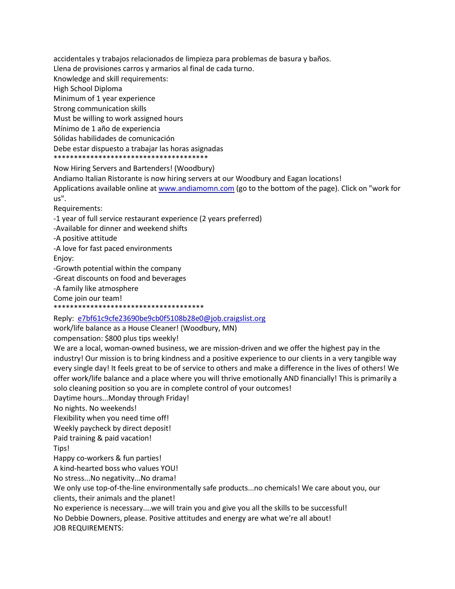accidentales y trabajos relacionados de limpieza para problemas de basura y baños.

Llena de provisiones carros y armarios al final de cada turno.

Knowledge and skill requirements:

High School Diploma

Minimum of 1 year experience

Strong communication skills

Must be willing to work assigned hours

Mínimo de 1 año de experiencia

Sólidas habilidades de comunicación

Debe estar dispuesto a trabajar las horas asignadas \*\*\*\*\*\*\*\*\*\*\*\*\*\*\*\*\*\*\*\*\*\*\*\*\*\*\*\*\*\*\*\*\*\*\*\*\*\*

## Now Hiring Servers and Bartenders! (Woodbury)

Andiamo Italian Ristorante is now hiring servers at our Woodbury and Eagan locations! Applications available online at [www.andiamomn.com](http://www.andiamomn.com/) (go to the bottom of the page). Click on "work for us".

Requirements:

-1 year of full service restaurant experience (2 years preferred)

-Available for dinner and weekend shifts

-A positive attitude

-A love for fast paced environments Enjoy:

-Growth potential within the company

-Great discounts on food and beverages

-A family like atmosphere

Come join our team!

\*\*\*\*\*\*\*\*\*\*\*\*\*\*\*\*\*

Reply: [e7bf61c9cfe23690be9cb0f5108b28e0@job.craigslist.org](mailto:e7bf61c9cfe23690be9cb0f5108b28e0@job.craigslist.org)

work/life balance as a House Cleaner! (Woodbury, MN)

compensation: \$800 plus tips weekly!

We are a local, woman-owned business, we are mission-driven and we offer the highest pay in the industry! Our mission is to bring kindness and a positive experience to our clients in a very tangible way every single day! It feels great to be of service to others and make a difference in the lives of others! We offer work/life balance and a place where you will thrive emotionally AND financially! This is primarily a solo cleaning position so you are in complete control of your outcomes!

Daytime hours...Monday through Friday!

No nights. No weekends!

Flexibility when you need time off!

Weekly paycheck by direct deposit!

Paid training & paid vacation!

Tips!

Happy co-workers & fun parties!

A kind-hearted boss who values YOU!

No stress...No negativity...No drama!

We only use top-of-the-line environmentally safe products...no chemicals! We care about you, our clients, their animals and the planet!

No experience is necessary....we will train you and give you all the skills to be successful!

No Debbie Downers, please. Positive attitudes and energy are what we're all about! JOB REQUIREMENTS: